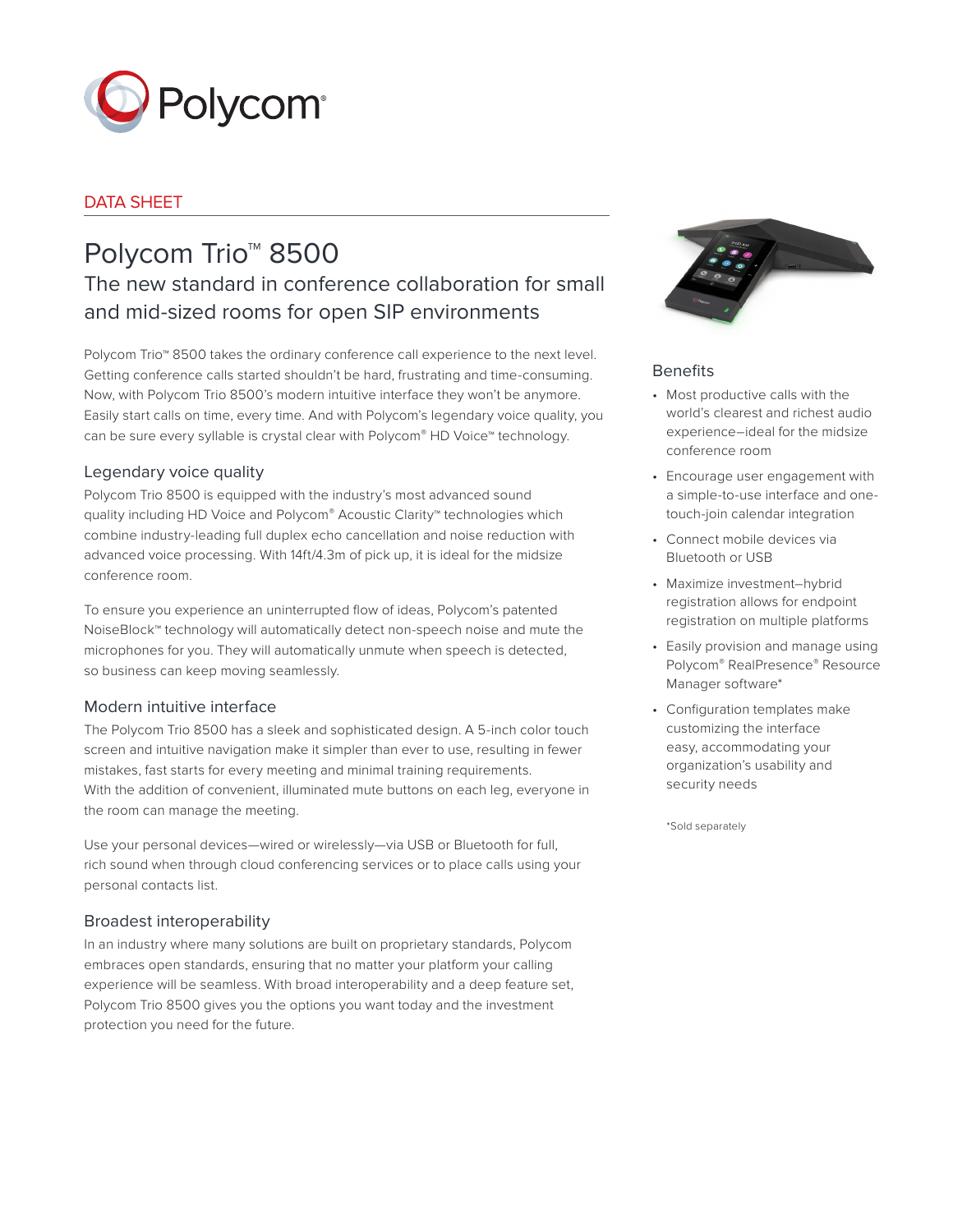

# DATA SHEET

# Polycom Trio<sup>™</sup> 8500

# The new standard in conference collaboration for small and mid-sized rooms for open SIP environments

Polycom Trio™ 8500 takes the ordinary conference call experience to the next level. Getting conference calls started shouldn't be hard, frustrating and time-consuming. Now, with Polycom Trio 8500's modern intuitive interface they won't be anymore. Easily start calls on time, every time. And with Polycom's legendary voice quality, you can be sure every syllable is crystal clear with Polycom® HD Voice™ technology.

# Legendary voice quality

Polycom Trio 8500 is equipped with the industry's most advanced sound quality including HD Voice and Polycom® Acoustic Clarity™ technologies which combine industry-leading full duplex echo cancellation and noise reduction with advanced voice processing. With 14ft/4.3m of pick up, it is ideal for the midsize conference room.

To ensure you experience an uninterrupted flow of ideas, Polycom's patented NoiseBlock™ technology will automatically detect non-speech noise and mute the microphones for you. They will automatically unmute when speech is detected, so business can keep moving seamlessly.

# Modern intuitive interface

The Polycom Trio 8500 has a sleek and sophisticated design. A 5-inch color touch screen and intuitive navigation make it simpler than ever to use, resulting in fewer mistakes, fast starts for every meeting and minimal training requirements. With the addition of convenient, illuminated mute buttons on each leg, everyone in the room can manage the meeting.

Use your personal devices—wired or wirelessly—via USB or Bluetooth for full, rich sound when through cloud conferencing services or to place calls using your personal contacts list.

# Broadest interoperability

In an industry where many solutions are built on proprietary standards, Polycom embraces open standards, ensuring that no matter your platform your calling experience will be seamless. With broad interoperability and a deep feature set, Polycom Trio 8500 gives you the options you want today and the investment protection you need for the future.



# **Benefits**

- Most productive calls with the world's clearest and richest audio experience–ideal for the midsize conference room
- Encourage user engagement with a simple-to-use interface and onetouch-join calendar integration
- Connect mobile devices via Bluetooth or USB
- Maximize investment–hybrid registration allows for endpoint registration on multiple platforms
- Easily provision and manage using Polycom® RealPresence® Resource Manager software\*
- Configuration templates make customizing the interface easy, accommodating your organization's usability and security needs

\*Sold separately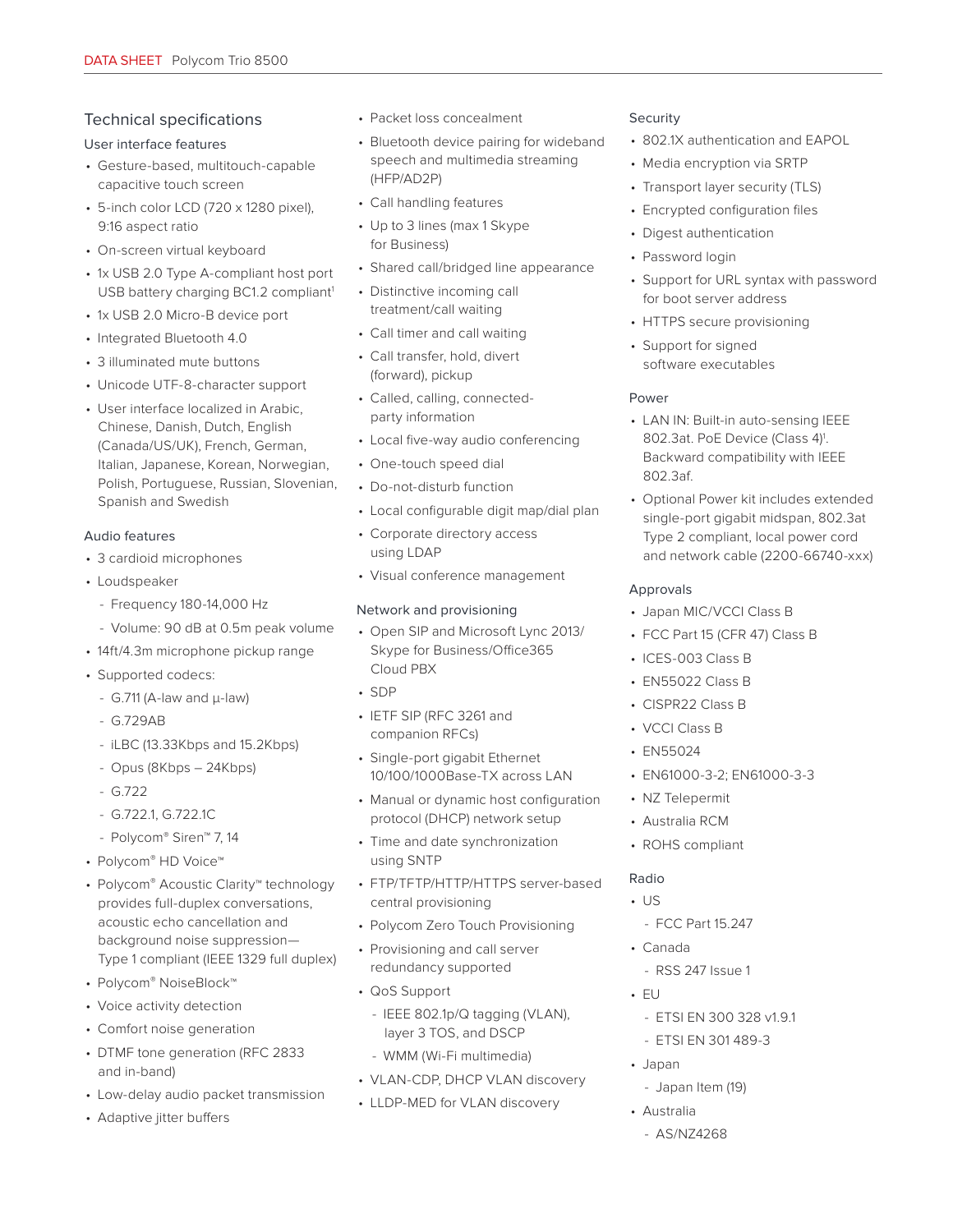# Technical specifications

#### User interface features

- Gesture-based, multitouch-capable capacitive touch screen
- 5-inch color LCD (720 x 1280 pixel), 9:16 aspect ratio
- On-screen virtual keyboard
- 1x USB 2.0 Type A-compliant host port USB battery charging BC1.2 compliant<sup>1</sup>
- 1x USB 2.0 Micro-B device port
- Integrated Bluetooth 4.0
- 3 illuminated mute buttons
- Unicode UTF-8-character support
- User interface localized in Arabic, Chinese, Danish, Dutch, English (Canada/US/UK), French, German, Italian, Japanese, Korean, Norwegian, Polish, Portuguese, Russian, Slovenian, Spanish and Swedish

## Audio features

- 3 cardioid microphones
- Loudspeaker
	- Frequency 180-14,000 Hz
	- Volume: 90 dB at 0.5m peak volume
- 14ft/4.3m microphone pickup range
- Supported codecs:
	- G.711 (A-law and μ-law)
	- G.729AB
	- iLBC (13.33Kbps and 15.2Kbps)
	- Opus (8Kbps 24Kbps)
	- G.722
	- G.722.1, G.722.1C
	- Polycom® Siren™ 7, 14
- Polycom® HD Voice™
- Polycom® Acoustic Clarity™ technology provides full-duplex conversations, acoustic echo cancellation and background noise suppression— Type 1 compliant (IEEE 1329 full duplex)
- Polycom® NoiseBlock™
- Voice activity detection
- Comfort noise generation
- DTMF tone generation (RFC 2833 and in-band)
- Low-delay audio packet transmission
- Adaptive jitter buffers
- Packet loss concealment
- Bluetooth device pairing for wideband speech and multimedia streaming (HFP/AD2P)
- Call handling features
- Up to 3 lines (max 1 Skype for Business)
- Shared call/bridged line appearance
- Distinctive incoming call treatment/call waiting
- Call timer and call waiting
- Call transfer, hold, divert (forward), pickup
- Called, calling, connectedparty information
- Local five-way audio conferencing
- One-touch speed dial
- Do-not-disturb function
- Local configurable digit map/dial plan
- Corporate directory access using LDAP
- Visual conference management

#### Network and provisioning

- Open SIP and Microsoft Lync 2013/ Skype for Business/Office365 Cloud PBX
- SDP
- IETF SIP (RFC 3261 and companion RFCs)
- Single-port gigabit Ethernet 10/100/1000Base-TX across LAN
- Manual or dynamic host configuration protocol (DHCP) network setup
- Time and date synchronization using SNTP
- FTP/TFTP/HTTP/HTTPS server-based central provisioning
- Polycom Zero Touch Provisioning
- Provisioning and call server redundancy supported
- QoS Support
	- IEEE 802.1p/Q tagging (VLAN), layer 3 TOS, and DSCP
	- WMM (Wi-Fi multimedia)
- VLAN-CDP, DHCP VLAN discovery
- LLDP-MED for VLAN discovery

### Security

- 802.1X authentication and EAPOL
- Media encryption via SRTP
- Transport layer security (TLS)
- Encrypted configuration files
- Digest authentication
- Password login
- Support for URL syntax with password for boot server address
- HTTPS secure provisioning
- Support for signed software executables

### Power

- LAN IN: Built-in auto-sensing IEEE 802.3at. PoE Device (Class 4)1 . Backward compatibility with IEEE 802.3af.
- Optional Power kit includes extended single-port gigabit midspan, 802.3at Type 2 compliant, local power cord and network cable (2200-66740-xxx)

### Approvals

- Japan MIC/VCCI Class B
- FCC Part 15 (CFR 47) Class B
- ICES-003 Class B
- EN55022 Class B
- CISPR22 Class B
- VCCI Class B
- EN55024
- EN61000-3-2; EN61000-3-3
- NZ Telepermit
- Australia RCM
- ROHS compliant

## Radio

- US
	- FCC Part 15.247
- Canada
	- RSS 247 Issue 1
- EU
	- ETSI EN 300 328 v1.9.1
- ETSI EN 301 489-3
- Japan
- Japan Item (19)

- AS/NZ4268

• Australia